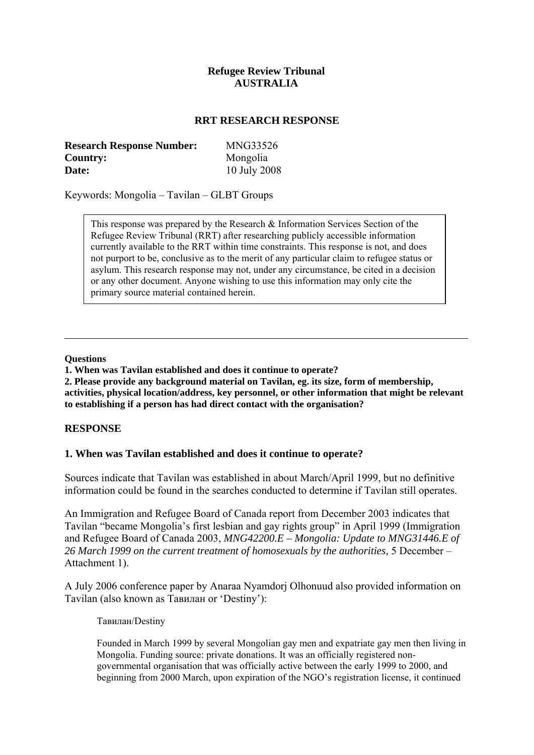## **Refugee Review Tribunal AUSTRALIA**

#### **RRT RESEARCH RESPONSE**

| <b>Research Response Number:</b> | <b>MNG33526</b> |
|----------------------------------|-----------------|
| Country:                         | Mongolia        |
| Date:                            | 10 July 2008    |

Keywords: Mongolia – Tavilan – GLBT Groups

This response was prepared by the Research & Information Services Section of the Refugee Review Tribunal (RRT) after researching publicly accessible information currently available to the RRT within time constraints. This response is not, and does not purport to be, conclusive as to the merit of any particular claim to refugee status or asylum. This research response may not, under any circumstance, be cited in a decision or any other document. Anyone wishing to use this information may only cite the primary source material contained herein.

#### **Questions**

**1. When was Tavilan established and does it continue to operate?** 

**2. Please provide any background material on Tavilan, eg. its size, form of membership, activities, physical location/address, key personnel, or other information that might be relevant to establishing if a person has had direct contact with the organisation?** 

#### **RESPONSE**

#### **1. When was Tavilan established and does it continue to operate?**

Sources indicate that Tavilan was established in about March/April 1999, but no definitive information could be found in the searches conducted to determine if Tavilan still operates.

An Immigration and Refugee Board of Canada report from December 2003 indicates that Tavilan "became Mongolia's first lesbian and gay rights group" in April 1999 (Immigration and Refugee Board of Canada 2003, *MNG42200.E – Mongolia: Update to MNG31446.E of 26 March 1999 on the current treatment of homosexuals by the authorities,* 5 December – Attachment 1).

A July 2006 conference paper by Anaraa Nyamdorj Olhonuud also provided information on Tavilan (also known as Тавилан or 'Destiny'):

Тавилан/Destiny

Founded in March 1999 by several Mongolian gay men and expatriate gay men then living in Mongolia. Funding source: private donations. It was an officially registered nongovernmental organisation that was officially active between the early 1999 to 2000, and beginning from 2000 March, upon expiration of the NGO's registration license, it continued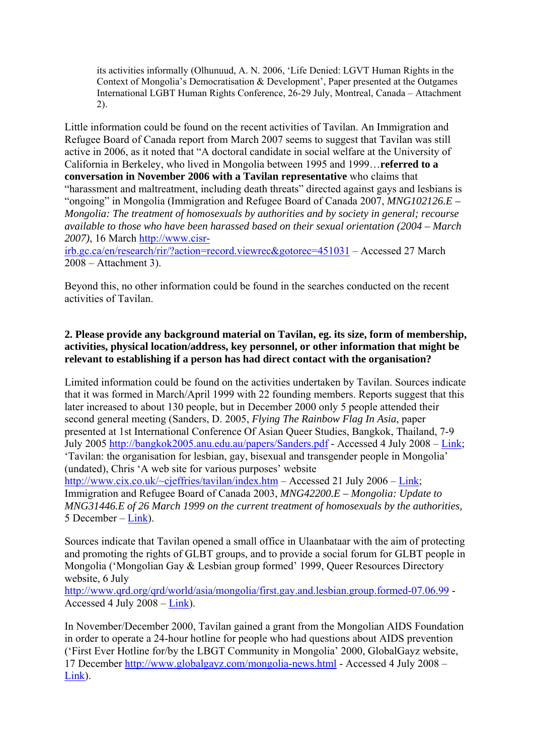its activities informally (Olhunuud, A. N. 2006, 'Life Denied: LGVT Human Rights in the Context of Mongolia's Democratisation & Development', Paper presented at the Outgames International LGBT Human Rights Conference, 26-29 July, Montreal, Canada – Attachment 2).

Little information could be found on the recent activities of Tavilan. An Immigration and Refugee Board of Canada report from March 2007 seems to suggest that Tavilan was still active in 2006, as it noted that "A doctoral candidate in social welfare at the University of California in Berkeley, who lived in Mongolia between 1995 and 1999…**referred to a conversation in November 2006 with a Tavilan representative** who claims that "harassment and maltreatment, including death threats" directed against gays and lesbians is "ongoing" in Mongolia (Immigration and Refugee Board of Canada 2007, *MNG102126.E – Mongolia: The treatment of homosexuals by authorities and by society in general; recourse available to those who have been harassed based on their sexual orientation (2004 – March 2007)*, 16 March [http://www.cisr-](http://www.cisr-irb.gc.ca/en/research/rir/?action=record.viewrec&gotorec=451031)

[irb.gc.ca/en/research/rir/?action=record.viewrec&gotorec=451031](http://www.cisr-irb.gc.ca/en/research/rir/?action=record.viewrec&gotorec=451031) – Accessed 27 March 2008 – Attachment 3).

Beyond this, no other information could be found in the searches conducted on the recent activities of Tavilan.

# **2. Please provide any background material on Tavilan, eg. its size, form of membership, activities, physical location/address, key personnel, or other information that might be relevant to establishing if a person has had direct contact with the organisation?**

Limited information could be found on the activities undertaken by Tavilan. Sources indicate that it was formed in March/April 1999 with 22 founding members. Reports suggest that this later increased to about 130 people, but in December 2000 only 5 people attended their second general meeting (Sanders, D. 2005, *Flying The Rainbow Flag In Asia*, paper presented at 1st International Conference Of Asian Queer Studies, Bangkok, Thailand, 7-9 July 2005<http://bangkok2005.anu.edu.au/papers/Sanders.pdf> - Accessed 4 July 2008 – Link; 'Tavilan: the organisation for lesbian, gay, bisexual and transgender people in Mongolia' (undated), Chris 'A web site for various purposes' website

[http://www.cix.co.uk/~cjeffries/tavilan/index.htm](http://www.cix.co.uk/%7Ecjeffries/tavilan/index.htm) – Accessed 21 July 2006 – Link; Immigration and Refugee Board of Canada 2003, *MNG42200.E – Mongolia: Update to MNG31446.E of 26 March 1999 on the current treatment of homosexuals by the authorities,*  5 December – Link).

Sources indicate that Tavilan opened a small office in Ulaanbataar with the aim of protecting and promoting the rights of GLBT groups, and to provide a social forum for GLBT people in Mongolia ('Mongolian Gay & Lesbian group formed' 1999, Queer Resources Directory website, 6 July

<http://www.qrd.org/qrd/world/asia/mongolia/first.gay.and.lesbian.group.formed-07.06.99>- Accessed 4 July 2008 – Link).

In November/December 2000, Tavilan gained a grant from the Mongolian AIDS Foundation in order to operate a 24-hour hotline for people who had questions about AIDS prevention ('First Ever Hotline for/by the LBGT Community in Mongolia' 2000, GlobalGayz website, 17 December<http://www.globalgayz.com/mongolia-news.html> - Accessed 4 July 2008 – Link).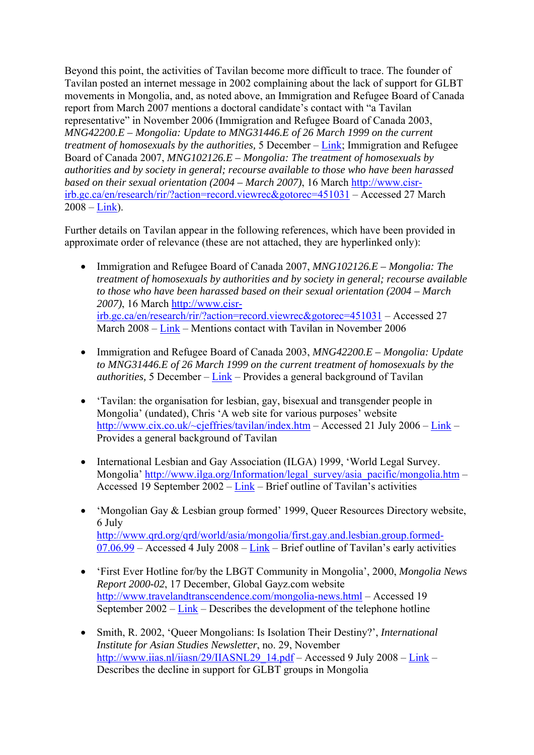Beyond this point, the activities of Tavilan become more difficult to trace. The founder of Tavilan posted an internet message in 2002 complaining about the lack of support for GLBT movements in Mongolia, and, as noted above, an Immigration and Refugee Board of Canada report from March 2007 mentions a doctoral candidate's contact with "a Tavilan representative" in November 2006 (Immigration and Refugee Board of Canada 2003, *MNG42200.E – Mongolia: Update to MNG31446.E of 26 March 1999 on the current treatment of homosexuals by the authorities,* 5 December – Link; Immigration and Refugee Board of Canada 2007, *MNG102126.E – Mongolia: The treatment of homosexuals by authorities and by society in general; recourse available to those who have been harassed based on their sexual orientation (2004 – March 2007)*, 16 March [http://www.cisr](http://www.cisr-irb.gc.ca/en/research/rir/?action=record.viewrec&gotorec=451031)[irb.gc.ca/en/research/rir/?action=record.viewrec&gotorec=451031](http://www.cisr-irb.gc.ca/en/research/rir/?action=record.viewrec&gotorec=451031) – Accessed 27 March  $2008 - Link$ ).

Further details on Tavilan appear in the following references, which have been provided in approximate order of relevance (these are not attached, they are hyperlinked only):

- Immigration and Refugee Board of Canada 2007, *MNG102126.E Mongolia: The treatment of homosexuals by authorities and by society in general; recourse available to those who have been harassed based on their sexual orientation (2004 – March 2007)*, 16 March [http://www.cisr](http://www.cisr-irb.gc.ca/en/research/rir/?action=record.viewrec&gotorec=451031)[irb.gc.ca/en/research/rir/?action=record.viewrec&gotorec=451031](http://www.cisr-irb.gc.ca/en/research/rir/?action=record.viewrec&gotorec=451031) – Accessed 27 March 2008 – Link – Mentions contact with Tavilan in November 2006
- Immigration and Refugee Board of Canada 2003, *MNG42200.E Mongolia: Update to MNG31446.E of 26 March 1999 on the current treatment of homosexuals by the authorities,* 5 December – Link – Provides a general background of Tavilan
- 'Tavilan: the organisation for lesbian, gay, bisexual and transgender people in Mongolia' (undated), Chris 'A web site for various purposes' website [http://www.cix.co.uk/~cjeffries/tavilan/index.htm](http://www.cix.co.uk/%7Ecjeffries/tavilan/index.htm) – Accessed 21 July 2006 – Link – Provides a general background of Tavilan
- International Lesbian and Gay Association (ILGA) 1999, 'World Legal Survey. Mongolia' [http://www.ilga.org/Information/legal\\_survey/asia\\_pacific/mongolia.htm](http://www.ilga.org/Information/legal_survey/asia_pacific/mongolia.htm) – Accessed 19 September 2002 – Link – Brief outline of Tavilan's activities
- 'Mongolian Gay & Lesbian group formed' 1999, Queer Resources Directory website, 6 July [http://www.qrd.org/qrd/world/asia/mongolia/first.gay.and.lesbian.group.formed-](http://www.qrd.org/qrd/world/asia/mongolia/first.gay.and.lesbian.group.formed-07.06.99)[07.06.99](http://www.qrd.org/qrd/world/asia/mongolia/first.gay.and.lesbian.group.formed-07.06.99) – Accessed 4 July 2008 – Link – Brief outline of Tavilan's early activities
- 'First Ever Hotline for/by the LBGT Community in Mongolia', 2000, *Mongolia News Report 2000-02*, 17 December, Global Gayz.com website <http://www.travelandtranscendence.com/mongolia-news.html> – Accessed 19 September 2002 – Link – Describes the development of the telephone hotline
- Smith, R. 2002, 'Queer Mongolians: Is Isolation Their Destiny?', *International Institute for Asian Studies Newsletter*, no. 29, November [http://www.iias.nl/iiasn/29/IIASNL29\\_14.pdf](http://www.iias.nl/iiasn/29/IIASNL29_14.pdf) – Accessed 9 July 2008 – Link – Describes the decline in support for GLBT groups in Mongolia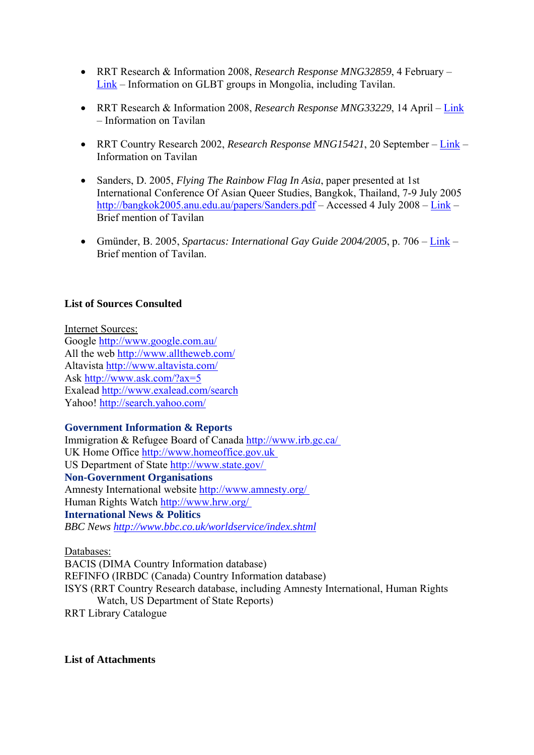- RRT Research & Information 2008, *Research Response MNG32859*, 4 February Link – Information on GLBT groups in Mongolia, including Tavilan.
- RRT Research & Information 2008, *Research Response MNG33229*, 14 April Link – Information on Tavilan
- RRT Country Research 2002, *Research Response MNG15421*, 20 September Link Information on Tavilan
- Sanders, D. 2005, *Flying The Rainbow Flag In Asia*, paper presented at 1st International Conference Of Asian Queer Studies, Bangkok, Thailand, 7-9 July 2005 <http://bangkok2005.anu.edu.au/papers/Sanders.pdf>– Accessed 4 July 2008 – Link – Brief mention of Tavilan
- Gmünder, B. 2005, *Spartacus: International Gay Guide 2004/2005*, p. 706 Link Brief mention of Tavilan.

### **List of Sources Consulted**

Internet Sources: Google<http://www.google.com.au/> All the web<http://www.alltheweb.com/> Altavista<http://www.altavista.com/> Ask<http://www.ask.com/?ax=5> Exalead <http://www.exalead.com/search> Yahoo!<http://search.yahoo.com/>

# **Government Information & Reports**

Immigration & Refugee Board of Canada <http://www.irb.gc.ca/> UK Home Office [http://www.homeoffice.gov.uk](http://www.homeoffice.gov.uk/)  US Department of State<http://www.state.gov/> **Non-Government Organisations**  Amnesty International website<http://www.amnesty.org/> Human Rights Watch <http://www.hrw.org/> **International News & Politics**  *BBC News <http://www.bbc.co.uk/worldservice/index.shtml>*

Databases:

BACIS (DIMA Country Information database) REFINFO (IRBDC (Canada) Country Information database) ISYS (RRT Country Research database, including Amnesty International, Human Rights Watch, US Department of State Reports) RRT Library Catalogue

**List of Attachments**